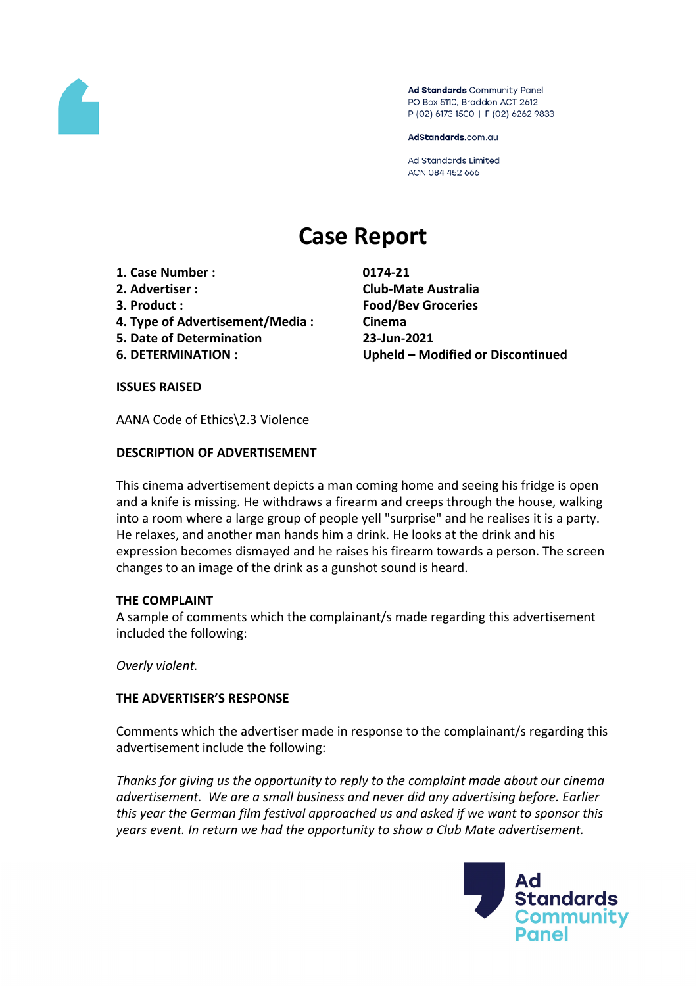

Ad Standards Community Panel PO Box 5110, Braddon ACT 2612 P (02) 6173 1500 | F (02) 6262 9833

AdStandards.com.au

**Ad Standards Limited** ACN 084 452 666

# **Case Report**

- **1. Case Number : 0174-21**
- 
- 
- **4. Type of Advertisement/Media : Cinema**
- **5. Date of Determination 23-Jun-2021**
- 

**2. Advertiser : Club-Mate Australia 3. Product : Food/Bev Groceries 6. DETERMINATION : Upheld – Modified or Discontinued**

#### **ISSUES RAISED**

AANA Code of Ethics\2.3 Violence

## **DESCRIPTION OF ADVERTISEMENT**

This cinema advertisement depicts a man coming home and seeing his fridge is open and a knife is missing. He withdraws a firearm and creeps through the house, walking into a room where a large group of people yell "surprise" and he realises it is a party. He relaxes, and another man hands him a drink. He looks at the drink and his expression becomes dismayed and he raises his firearm towards a person. The screen changes to an image of the drink as a gunshot sound is heard.

## **THE COMPLAINT**

A sample of comments which the complainant/s made regarding this advertisement included the following:

*Overly violent.*

## **THE ADVERTISER'S RESPONSE**

Comments which the advertiser made in response to the complainant/s regarding this advertisement include the following:

*Thanks for giving us the opportunity to reply to the complaint made about our cinema advertisement. We are a small business and never did any advertising before. Earlier this year the German film festival approached us and asked if we want to sponsor this years event. In return we had the opportunity to show a Club Mate advertisement.*

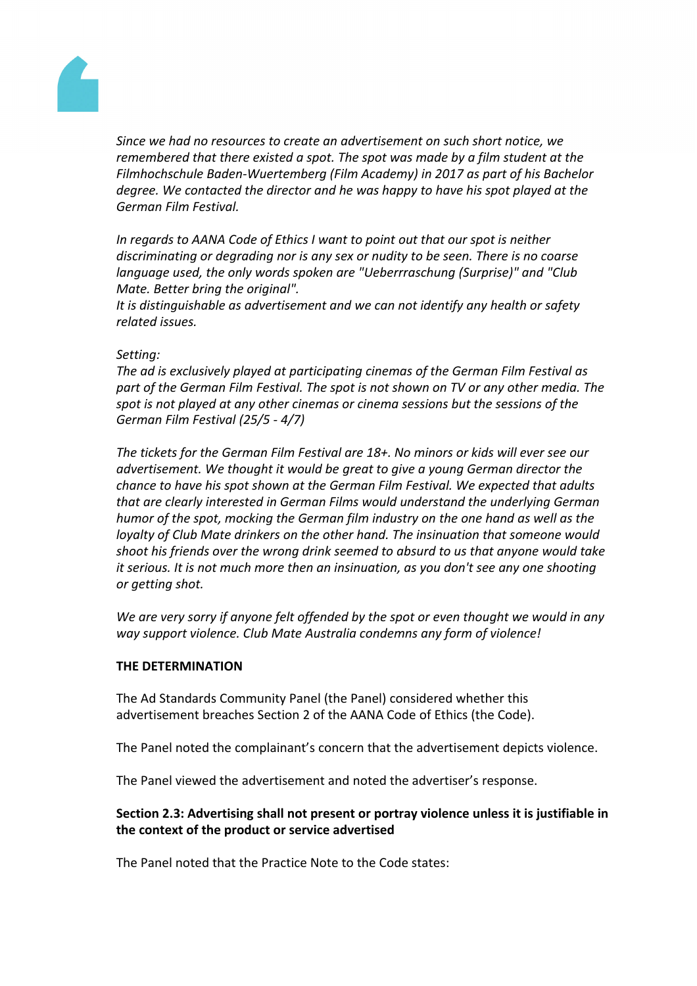

*Since we had no resources to create an advertisement on such short notice, we remembered that there existed a spot. The spot was made by a film student at the Filmhochschule Baden-Wuertemberg (Film Academy) in 2017 as part of his Bachelor degree. We contacted the director and he was happy to have his spot played at the German Film Festival.*

*In regards to AANA Code of Ethics I want to point out that our spot is neither discriminating or degrading nor is any sex or nudity to be seen. There is no coarse language used, the only words spoken are "Ueberrraschung (Surprise)" and "Club Mate. Better bring the original".*

*It is distinguishable as advertisement and we can not identify any health or safety related issues.*

## *Setting:*

*The ad is exclusively played at participating cinemas of the German Film Festival as part of the German Film Festival. The spot is not shown on TV or any other media. The spot is not played at any other cinemas or cinema sessions but the sessions of the German Film Festival (25/5 - 4/7)*

*The tickets for the German Film Festival are 18+. No minors or kids will ever see our advertisement. We thought it would be great to give a young German director the chance to have his spot shown at the German Film Festival. We expected that adults that are clearly interested in German Films would understand the underlying German humor of the spot, mocking the German film industry on the one hand as well as the loyalty of Club Mate drinkers on the other hand. The insinuation that someone would shoot his friends over the wrong drink seemed to absurd to us that anyone would take it serious. It is not much more then an insinuation, as you don't see any one shooting or getting shot.*

*We are very sorry if anyone felt offended by the spot or even thought we would in any way support violence. Club Mate Australia condemns any form of violence!*

## **THE DETERMINATION**

The Ad Standards Community Panel (the Panel) considered whether this advertisement breaches Section 2 of the AANA Code of Ethics (the Code).

The Panel noted the complainant's concern that the advertisement depicts violence.

The Panel viewed the advertisement and noted the advertiser's response.

# **Section 2.3: Advertising shall not present or portray violence unless it is justifiable in the context of the product or service advertised**

The Panel noted that the Practice Note to the Code states: